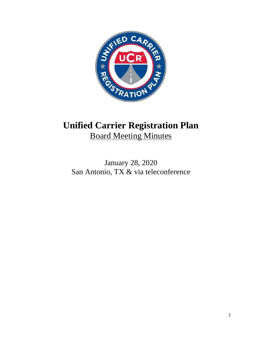

# **Unified Carrier Registration Plan** Board Meeting Minutes

January 28, 2020 San Antonio, TX & via teleconference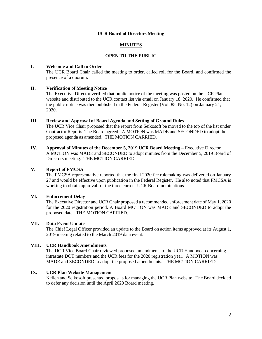## **UCR Board of Directors Meeting**

## **MINUTES**

## **OPEN TO THE PUBLIC**

## **I. Welcome and Call to Order**

The UCR Board Chair called the meeting to order, called roll for the Board, and confirmed the presence of a quorum.

## **II. Verification of Meeting Notice**

The Executive Director verified that public notice of the meeting was posted on the UCR Plan website and distributed to the UCR contact list via email on January 18, 2020. He confirmed that the public notice was then published in the Federal Register (Vol. 85, No. 12) on January 21, 2020.

## **III. Review and Approval of Board Agenda and Setting of Ground Rules**

The UCR Vice Chair proposed that the report from Seikosoft be moved to the top of the list under Contractor Reports. The Board agreed. A MOTION was MADE and SECONDED to adopt the proposed agenda as amended. THE MOTION CARRIED.

**IV. Approval of Minutes of the December 5, 2019 UCR Board Meeting** – Executive Director A MOTION was MADE and SECONDED to adopt minutes from the December 5, 2019 Board of Directors meeting. THE MOTION CARRIED.

# **V. Report of FMCSA**

The FMCSA representative reported that the final 2020 fee rulemaking was delivered on January 27 and would be effective upon publication in the Federal Register. He also noted that FMCSA is working to obtain approval for the three current UCR Board nominations.

## **VI. Enforcement Delay**

The Executive Director and UCR Chair proposed a recommended enforcement date of May 1, 2020 for the 2020 registration period. A Board MOTION was MADE and SECONDED to adopt the proposed date. THE MOTION CARRIED.

## **VII. Data Event Update**

The Chief Legal Officer provided an update to the Board on action items approved at its August 1, 2019 meeting related to the March 2019 data event.

## **VIII. UCR Handbook Amendments**

The UCR Vice Board Chair reviewed proposed amendments to the UCR Handbook concerning intrastate DOT numbers and the UCR fees for the 2020 registration year. A MOTION was MADE and SECONDED to adopt the proposed amendments. THE MOTION CARRIED.

#### **IX. UCR Plan Website Management**

Kellen and Seikosoft presented proposals for managing the UCR Plan website. The Board decided to defer any decision until the April 2020 Board meeting.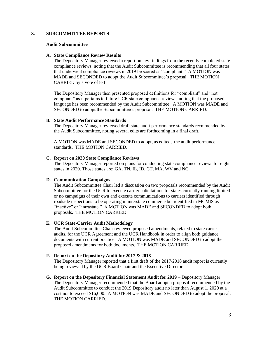# **X. SUBCOMMITTEE REPORTS**

#### **Audit Subcommittee**

#### **A. State Compliance Review Results**

The Depository Manager reviewed a report on key findings from the recently completed state compliance reviews, noting that the Audit Subcommittee is recommending that all four states that underwent compliance reviews in 2019 be scored as "compliant." A MOTION was MADE and SECONDED to adopt the Audit Subcommittee's proposal. THE MOTION CARRIED by a vote of 8-1.

The Depository Manager then presented proposed definitions for "compliant" and "not compliant" as it pertains to future UCR state compliance reviews, noting that the proposed language has been recommended by the Audit Subcommittee. A MOTION was MADE and SECONDED to adopt the Subcommittee's proposal. THE MOTION CARRIED.

#### **B. State Audit Performance Standards**

The Depository Manager reviewed draft state audit performance standards recmmended by the Audit Subcommittee, noting several edits are forthcoming in a final draft.

A MOTION was MADE and SECONDED to adopt, as edited, the audit performance standards. THE MOTION CARRIED.

#### **C. Report on 2020 State Compliance Reviews**

The Depository Manager reported on plans for conducting state compliance reviews for eight states in 2020. Those states are: GA, TN, IL, ID, CT, MA, WV and NC.

#### **D. Communication Campaigns**

The Audit Subcommittee Chair led a discussion on two proposals recommended by the Audit Subcommittee for the UCR to execute carrier solicitations for states currently running limited or no campaigns of their own and execute communications to carriers identified through roadside inspections to be operating in interstate commerce but identified in MCMIS as "inactive" or "intrastate." A MOTION was MADE and SECONDED to adopt both proposals. THE MOTION CARRIED.

#### **E. UCR State-Carrier Audit Methodology**

The Audit Subcommittee Chair reviewed proposed amendments, related to state carrier audits, for the UCR Agreement and the UCR Handbook in order to align both guidance documents with current practice. A MOTION was MADE and SECONDED to adopt the proposed amendments for both documents. THE MOTION CARRIED.

#### **F. Report on the Depository Audit for 2017 & 2018**

The Depository Manager reported that a first draft of the 2017/2018 audit report is currently being reviewed by the UCR Board Chair and the Executive Director.

**G.** Report on the Depository Financial Statement Audit for 2019 – Depository Manager The Depository Manager recommended that the Board adopt a proposal recommended by the Audit Subcommittee to conduct the 2019 Depository audit no later than August 1, 2020 at a cost not to exceed \$16,000. A MOTION was MADE and SECONDED to adopt the proposal. THE MOTION CARRIED.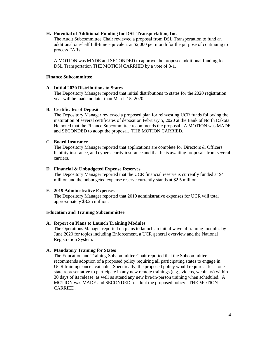## **H. Potential of Additional Funding for DSL Transportation, Inc.**

The Audit Subcommittee Chair reviewed a proposal from DSL Transportation to fund an additional one-half full-time equivalent at \$2,000 per month for the purpose of continuing to process FARs.

A MOTION was MADE and SECONDED to approve the proposed additional funding for DSL Transportation THE MOTION CARRIED by a vote of 8-1.

#### **Finance Subcommittee**

## **A. Initial 2020 Distributions to States**

The Depository Manager reported that initial distributions to states for the 2020 registration year will be made no later than March 15, 2020.

## **B. Certificates of Deposit**

The Depository Manager reviewed a proposed plan for reinvesting UCR funds following the maturation of several certificates of deposit on February 5, 2020 at the Bank of North Dakota. He noted that the Finance Subcommittee recommends the proposal. A MOTION was MADE and SECONDED to adopt the proposal. THE MOTION CARRIED.

# **C. Board Insurance**

The Depository Manager reported that applications are complete for Directors & Officers liability insurance, and cybersecurity insurance and that he is awaiting proposals from several carriers.

#### **D. Financial & Unbudgeted Expense Reserves**

The Depository Manager reported that the UCR financial reserve is currently funded at \$4 million and the unbudgeted expense reserve currently stands at \$2.5 million.

## **E. 2019 Administrative Expenses**

The Depository Manager reported that 2019 administrative expenses for UCR will total approximately \$3.25 million.

#### **Education and Training Subcommittee**

## **A. Report on Plans to Launch Training Modules**

The Operations Manager reported on plans to launch an initial wave of training modules by June 2020 for topics including Enforcement, a UCR general overview and the National Registration System.

# **A. Mandatory Training for States**

The Education and Training Subcommittee Chair reported that the Subcommittee recommends adoption of a proposed policy requiring all participating states to engage in UCR trainings once available. Specifically, the proposed policy would require at least one state representative to participate in any new remote trainings (e.g., videos, webinars) within 30 days of its release, as well as attend any new live/in-person training when scheduled. A MOTION was MADE and SECONDED to adopt the proposed policy. THE MOTION CARRIED.